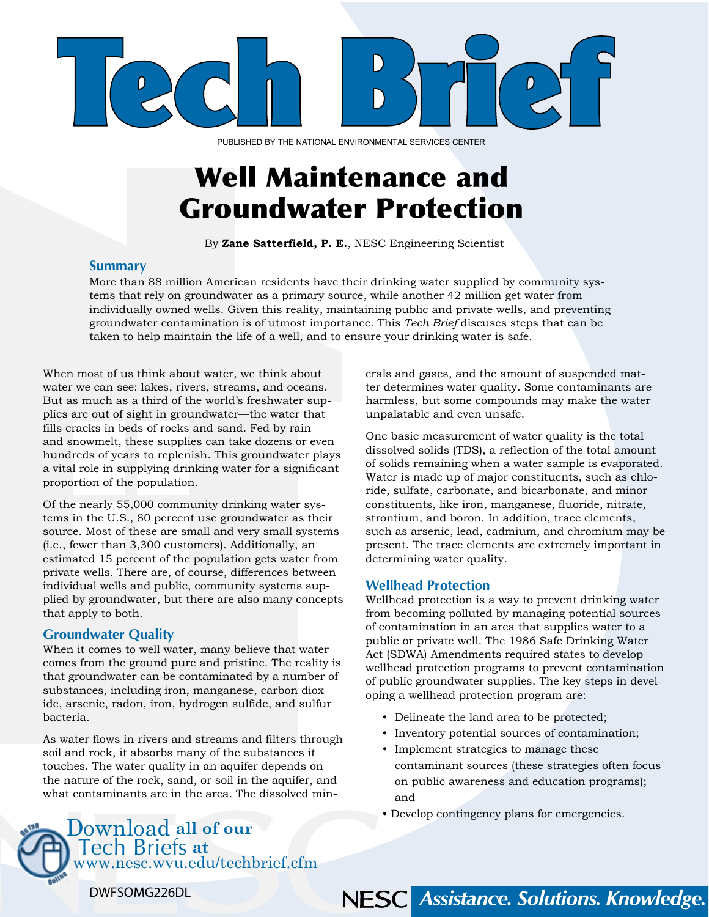

PUBLISHED BY THE NATIONAL ENVIRONMENTAL SERVICES CENTER

### Well Maintenance and Groundwater Protection

By **Zane Satterfield, P. E.**, NESC Engineering Scientist

#### **Summary**

More than 88 million American residents have their drinking water supplied by community systems that rely on groundwater as a primary source, while another 42 million get water from individually owned wells. Given this reality, maintaining public and private wells, and preventing groundwater contamination is of utmost importance. This *Tech Brief* discuses steps that can be taken to help maintain the life of a well, and to ensure your drinking water is safe.

When most of us think about water, we think about water we can see: lakes, rivers, streams, and oceans. But as much as a third of the world's freshwater supplies are out of sight in groundwater—the water that fills cracks in beds of rocks and sand. Fed by rain and snowmelt, these supplies can take dozens or even hundreds of years to replenish. This groundwater plays a vital role in supplying drinking water for a significant proportion of the population.

Of the nearly 55,000 community drinking water systems in the U.S., 80 percent use groundwater as their source. Most of these are small and very small systems (i.e., fewer than 3,300 customers). Additionally, an estimated 15 percent of the population gets water from private wells. There are, of course, differences between individual wells and public, community systems supplied by groundwater, but there are also many concepts that apply to both.

#### **Groundwater Quality**

When it comes to well water, many believe that water comes from the ground pure and pristine. The reality is that groundwater can be contaminated by a number of substances, including iron, manganese, carbon dioxide, arsenic, radon, iron, hydrogen sulfide, and sulfur bacteria.

As water flows in rivers and streams and filters through soil and rock, it absorbs many of the substances it touches. The water quality in an aquifer depends on the nature of the rock, sand, or soil in the aquifer, and what contaminants are in the area. The dissolved minerals and gases, and the amount of suspended matter determines water quality. Some contaminants are harmless, but some compounds may make the water unpalatable and even unsafe.

One basic measurement of water quality is the total dissolved solids (TDS), a reflection of the total amount of solids remaining when a water sample is evaporated. Water is made up of major constituents, such as chloride, sulfate, carbonate, and bicarbonate, and minor constituents, like iron, manganese, fluoride, nitrate, strontium, and boron. In addition, trace elements, such as arsenic, lead, cadmium, and chromium may be present. The trace elements are extremely important in determining water quality.

#### **Wellhead Protection**

Wellhead protection is a way to prevent drinking water from becoming polluted by managing potential sources of contamination in an area that supplies water to a public or private well. The 1986 Safe Drinking Water Act (SDWA) Amendments required states to develop wellhead protection programs to prevent contamination of public groundwater supplies. The key steps in developing a wellhead protection program are:

- Delineate the land area to be protected;
- Inventory potential sources of contamination;
- r<br>P • Implement strategies to manage these contaminant sources (these strategies often focus on public awareness and education programs); and

NESC Assistance. Solutions. Knowledge.

• Develop contingency plans for emergencies.

#### Download **all of our**  Tech Briefs **at**  <www.nesc.wvu.edu/techbrief.cfm>

NATIONAL ENVIRONMENTAL SERVICES CENTER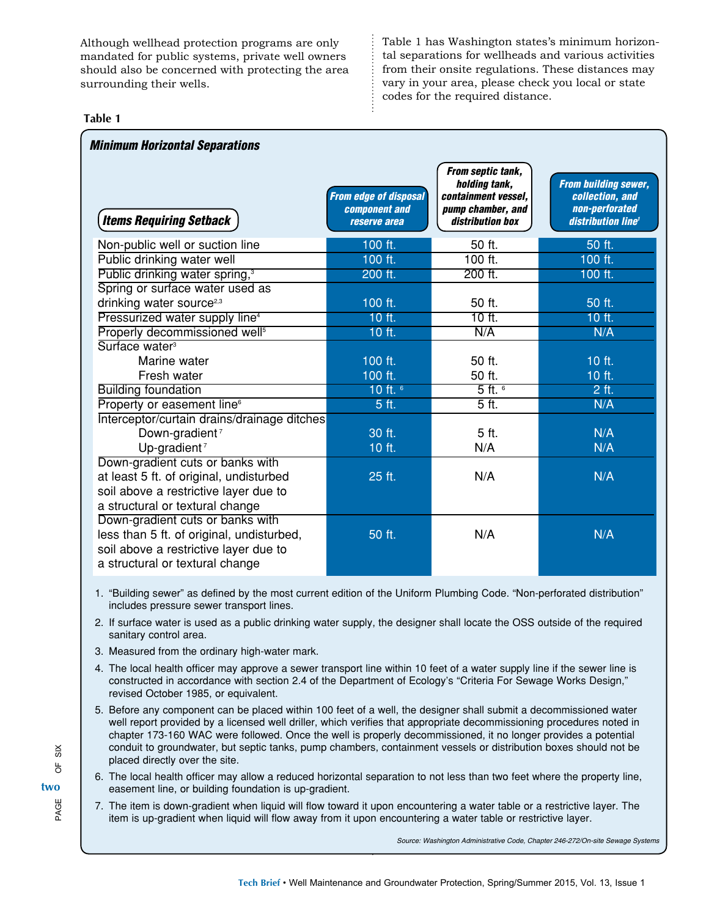Although wellhead protection programs are only mandated for public systems, private well owners should also be concerned with protecting the area surrounding their wells.

Table 1 has Washington states's minimum horizontal separations for wellheads and various activities from their onsite regulations. These distances may vary in your area, please check you local or state codes for the required distance.

#### **Table 1**

٦

| <b>Minimum Horizontal Separations</b>       |                                                                      |                                                                                                    |                                                                                                    |
|---------------------------------------------|----------------------------------------------------------------------|----------------------------------------------------------------------------------------------------|----------------------------------------------------------------------------------------------------|
| <b>Items Requiring Setback</b>              | <b>From edge of disposal</b><br><b>component</b> and<br>reserve area | From septic tank,<br>holding tank,<br>containment vessel,<br>pump chamber, and<br>distribution box | <b>From building sewer,</b><br>collection, and<br>non-perforated<br>distribution line <sup>1</sup> |
| Non-public well or suction line             | 100 ft.                                                              | 50 ft.                                                                                             | 50 ft.                                                                                             |
| Public drinking water well                  | 100 ft.                                                              | $100$ ft.                                                                                          | 100 ft.                                                                                            |
| Public drinking water spring, <sup>3</sup>  | 200 ft.                                                              | 200 ft.                                                                                            | 100 ft.                                                                                            |
| Spring or surface water used as             |                                                                      |                                                                                                    |                                                                                                    |
| drinking water source <sup>2,3</sup>        | 100 ft.                                                              | 50 ft.                                                                                             | 50 ft.                                                                                             |
| Pressurized water supply line <sup>4</sup>  | 10 ft.                                                               | 10 ft.                                                                                             | 10 ft.                                                                                             |
| Properly decommissioned well <sup>5</sup>   | 10 ft.                                                               | N/A                                                                                                | N/A                                                                                                |
| Surface water <sup>3</sup>                  |                                                                      |                                                                                                    |                                                                                                    |
| Marine water                                | 100 ft.                                                              | 50 ft.                                                                                             | 10 ft.                                                                                             |
| Fresh water                                 | 100 ft.                                                              | 50 ft.                                                                                             | 10 ft.                                                                                             |
| <b>Building foundation</b>                  | 10 ft. $6$                                                           | $5$ ft. $6$                                                                                        | $2$ ft.                                                                                            |
| Property or easement line <sup>6</sup>      | 5 ft.                                                                | $\overline{5}$ ft.                                                                                 | N/A                                                                                                |
| Interceptor/curtain drains/drainage ditches |                                                                      |                                                                                                    |                                                                                                    |
| Down-gradient <sup>7</sup>                  | 30 ft.                                                               | 5 ft.                                                                                              | N/A                                                                                                |
| Up-gradient <sup>7</sup>                    | 10 ft.                                                               | N/A                                                                                                | N/A                                                                                                |
| Down-gradient cuts or banks with            |                                                                      |                                                                                                    |                                                                                                    |
| at least 5 ft. of original, undisturbed     | 25 ft.                                                               | N/A                                                                                                | N/A                                                                                                |
| soil above a restrictive layer due to       |                                                                      |                                                                                                    |                                                                                                    |
| a structural or textural change             |                                                                      |                                                                                                    |                                                                                                    |
| Down-gradient cuts or banks with            |                                                                      |                                                                                                    |                                                                                                    |
| less than 5 ft. of original, undisturbed,   | 50 ft.                                                               | N/A                                                                                                | N/A                                                                                                |
| soil above a restrictive layer due to       |                                                                      |                                                                                                    |                                                                                                    |
| a structural or textural change             |                                                                      |                                                                                                    |                                                                                                    |

1. "Building sewer" as defined by the most current edition of the Uniform Plumbing Code. "Non-perforated distribution" includes pressure sewer transport lines.

- 2. If surface water is used as a public drinking water supply, the designer shall locate the OSS outside of the required sanitary control area.
- 3. Measured from the ordinary high-water mark.
- 4. The local health officer may approve a sewer transport line within 10 feet of a water supply line if the sewer line is constructed in accordance with section 2.4 of the Department of Ecology's "Criteria For Sewage Works Design," revised October 1985, or equivalent.
- 5. Before any component can be placed within 100 feet of a well, the designer shall submit a decommissioned water well report provided by a licensed well driller, which verifies that appropriate decommissioning procedures noted in chapter 173-160 WAC were followed. Once the well is properly decommissioned, it no longer provides a potential conduit to groundwater, but septic tanks, pump chambers, containment vessels or distribution boxes should not be placed directly over the site.
- 6. The local health officer may allow a reduced horizontal separation to not less than two feet where the property line, easement line, or building foundation is up-gradient.
- 7. The item is down-gradient when liquid will flow toward it upon encountering a water table or a restrictive layer. The item is up-gradient when liquid will flow away from it upon encountering a water table or restrictive layer.

*Source: Washington Administrative Code, Chapter 246-272/On-site Sewage Systems*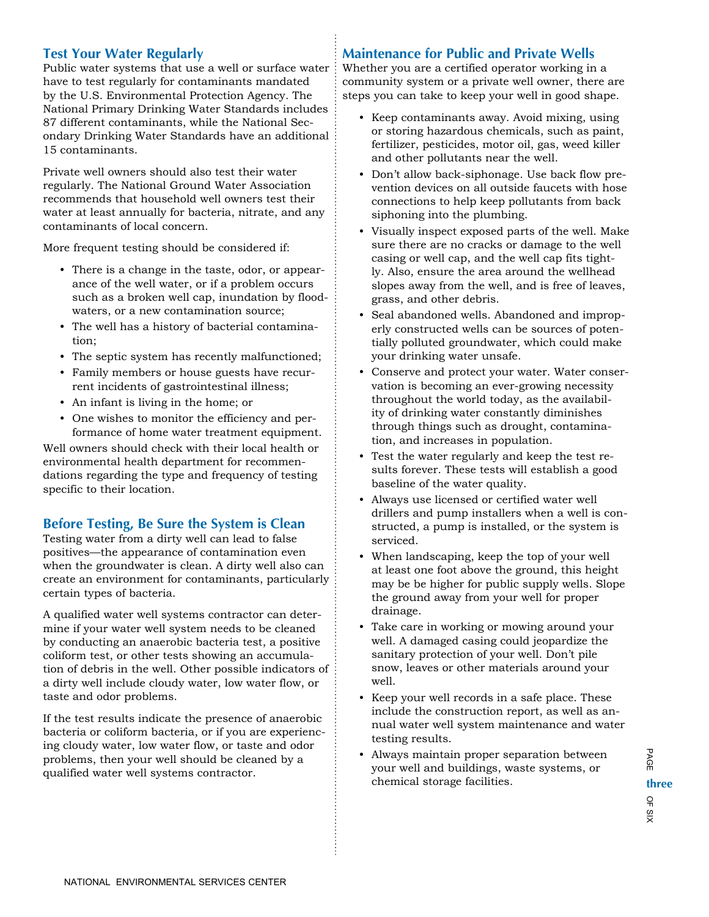#### **Test Your Water Regularly**

Public water systems that use a well or surface water have to test regularly for contaminants mandated by the U.S. Environmental Protection Agency. The National Primary Drinking Water Standards includes 87 different contaminants, while the National Secondary Drinking Water Standards have an additional 15 contaminants.

Private well owners should also test their water regularly. The National Ground Water Association recommends that household well owners test their water at least annually for bacteria, nitrate, and any contaminants of local concern.

More frequent testing should be considered if:

- There is a change in the taste, odor, or appearance of the well water, or if a problem occurs such as a broken well cap, inundation by floodwaters, or a new contamination source;
- The well has a history of bacterial contamination;
- The septic system has recently malfunctioned;
- Family members or house guests have recurrent incidents of gastrointestinal illness;
- An infant is living in the home; or
- One wishes to monitor the efficiency and performance of home water treatment equipment.

Well owners should check with their local health or environmental health department for recommendations regarding the type and frequency of testing specific to their location.

#### **Before Testing, Be Sure the System is Clean**

Testing water from a dirty well can lead to false positives—the appearance of contamination even when the groundwater is clean. A dirty well also can create an environment for contaminants, particularly certain types of bacteria.

A qualified water well systems contractor can determine if your water well system needs to be cleaned by conducting an anaerobic bacteria test, a positive coliform test, or other tests showing an accumulation of debris in the well. Other possible indicators of a dirty well include cloudy water, low water flow, or taste and odor problems.

If the test results indicate the presence of anaerobic bacteria or coliform bacteria, or if you are experiencing cloudy water, low water flow, or taste and odor problems, then your well should be cleaned by a qualified water well systems contractor.

#### **Maintenance for Public and Private Wells**

Whether you are a certified operator working in a community system or a private well owner, there are steps you can take to keep your well in good shape.

- Keep contaminants away. Avoid mixing, using or storing hazardous chemicals, such as paint, fertilizer, pesticides, motor oil, gas, weed killer and other pollutants near the well.
- Don't allow back-siphonage. Use back flow prevention devices on all outside faucets with hose connections to help keep pollutants from back siphoning into the plumbing.
- Visually inspect exposed parts of the well. Make sure there are no cracks or damage to the well casing or well cap, and the well cap fits tightly. Also, ensure the area around the wellhead slopes away from the well, and is free of leaves, grass, and other debris.
- Seal abandoned wells. Abandoned and improperly constructed wells can be sources of potentially polluted groundwater, which could make your drinking water unsafe.
- Conserve and protect your water. Water conservation is becoming an ever-growing necessity throughout the world today, as the availability of drinking water constantly diminishes through things such as drought, contamination, and increases in population.
- Test the water regularly and keep the test results forever. These tests will establish a good baseline of the water quality.
- Always use licensed or certified water well drillers and pump installers when a well is constructed, a pump is installed, or the system is serviced.
- When landscaping, keep the top of your well at least one foot above the ground, this height may be be higher for public supply wells. Slope the ground away from your well for proper drainage.
- Take care in working or mowing around your well. A damaged casing could jeopardize the sanitary protection of your well. Don't pile snow, leaves or other materials around your well.
- Keep your well records in a safe place. These include the construction report, as well as annual water well system maintenance and water testing results.
- Always maintain proper separation between your well and buildings, waste systems, or chemical storage facilities.

PAGE three<br>O<sub>F</sub> SIX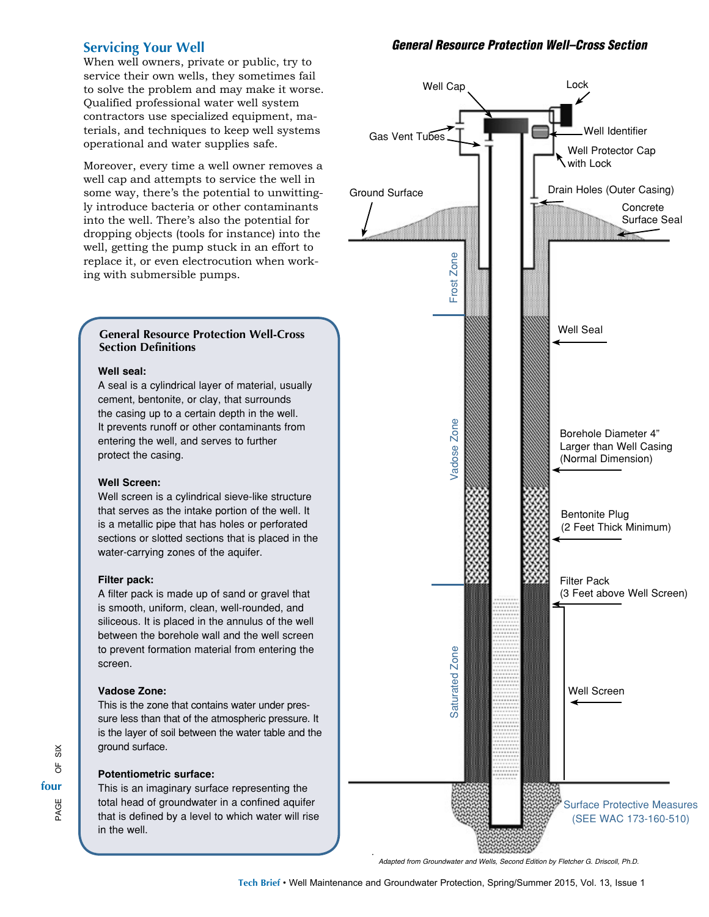#### **Servicing Your Well**

When well owners, private or public, try to service their own wells, they sometimes fail to solve the problem and may make it worse. Qualified professional water well system contractors use specialized equipment, materials, and techniques to keep well systems operational and water supplies safe.

Moreover, every time a well owner removes a well cap and attempts to service the well in some way, there's the potential to unwittingly introduce bacteria or other contaminants into the well. There's also the potential for dropping objects (tools for instance) into the well, getting the pump stuck in an effort to replace it, or even electrocution when working with submersible pumps.

#### **General Resource Protection Well-Cross Section Definitions**

#### **Well seal:**

A seal is a cylindrical layer of material, usually cement, bentonite, or clay, that surrounds the casing up to a certain depth in the well. It prevents runoff or other contaminants from entering the well, and serves to further protect the casing.

#### **Well Screen:**

Well screen is a cylindrical sieve-like structure that serves as the intake portion of the well. It is a metallic pipe that has holes or perforated sections or slotted sections that is placed in the water-carrying zones of the aquifer.

#### **Filter pack:**

A filter pack is made up of sand or gravel that is smooth, uniform, clean, well-rounded, and siliceous. It is placed in the annulus of the well between the borehole wall and the well screen to prevent formation material from entering the screen.

#### **Vadose Zone:**

This is the zone that contains water under pressure less than that of the atmospheric pressure. It is the layer of soil between the water table and the ground surface.

#### **Potentiometric surface:**

This is an imaginary surface representing the total head of groundwater in a confined aquifer that is defined by a level to which water will rise in the well.

#### *General Resource Protection Well–Cross Section*



*Adapted from Groundwater and Wells, Second Edition by Fletcher G. Driscoll, Ph.D.*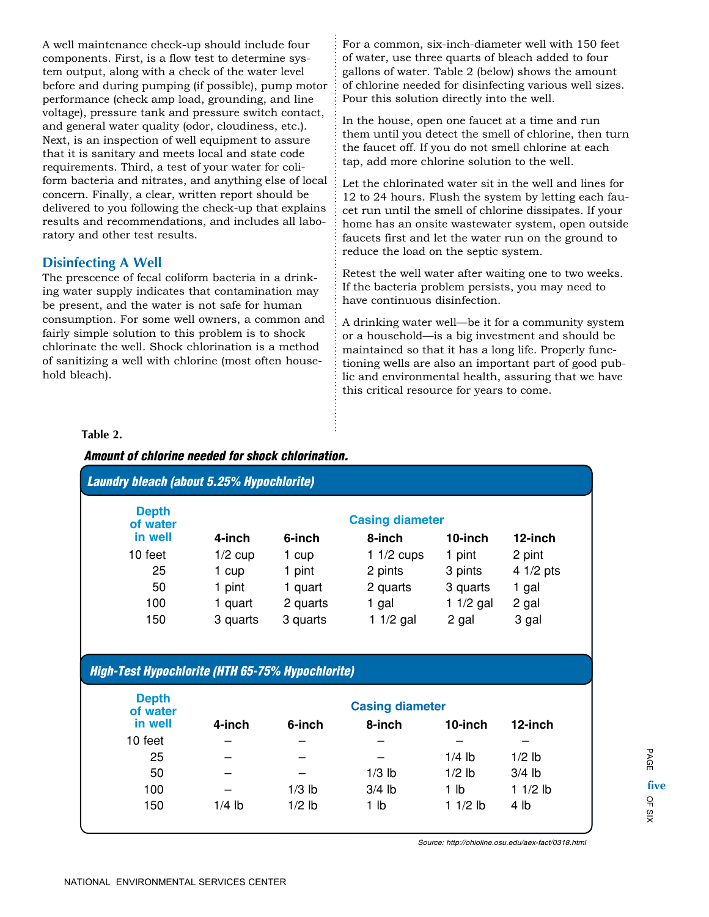A well maintenance check-up should include four components. First, is a flow test to determine system output, along with a check of the water level before and during pumping (if possible), pump motor performance (check amp load, grounding, and line voltage), pressure tank and pressure switch contact, and general water quality (odor, cloudiness, etc.). Next, is an inspection of well equipment to assure that it is sanitary and meets local and state code requirements. Third, a test of your water for coliform bacteria and nitrates, and anything else of local concern. Finally, a clear, written report should be delivered to you following the check-up that explains results and recommendations, and includes all laboratory and other test results.

#### **Disinfecting A Well**

The prescence of fecal coliform bacteria in a drinking water supply indicates that contamination may be present, and the water is not safe for human consumption. For some well owners, a common and fairly simple solution to this problem is to shock chlorinate the well. Shock chlorination is a method of sanitizing a well with chlorine (most often household bleach).

For a common, six-inch-diameter well with 150 feet of water, use three quarts of bleach added to four gallons of water. Table 2 (below) shows the amount of chlorine needed for disinfecting various well sizes. Pour this solution directly into the well.

In the house, open one faucet at a time and run them until you detect the smell of chlorine, then turn the faucet off. If you do not smell chlorine at each tap, add more chlorine solution to the well.

Let the chlorinated water sit in the well and lines for 12 to 24 hours. Flush the system by letting each faucet run until the smell of chlorine dissipates. If your home has an onsite wastewater system, open outside faucets first and let the water run on the ground to reduce the load on the septic system.

Retest the well water after waiting one to two weeks. If the bacteria problem persists, you may need to have continuous disinfection.

A drinking water well—be it for a community system or a household—is a big investment and should be maintained so that it has a long life. Properly functioning wells are also an important part of good public and environmental health, assuring that we have this critical resource for years to come.

#### **Table 2.**

#### *Amount of chlorine needed for shock chlorination.*

| <b>Laundry bleach (about 5.25% Hypochlorite)</b>        |           |                        |                        |                 |            |  |  |
|---------------------------------------------------------|-----------|------------------------|------------------------|-----------------|------------|--|--|
| <b>Depth</b><br>of water                                |           | <b>Casing diameter</b> |                        |                 |            |  |  |
| in well                                                 | 4-inch    | 6-inch                 | 8-inch                 | 10-inch         | 12-inch    |  |  |
| 10 feet                                                 | $1/2$ cup | 1 cup                  | 1 $1/2$ cups           | 1 pint          | 2 pint     |  |  |
| 25                                                      | 1 cup     | 1 pint                 | 2 pints                | 3 pints         | $41/2$ pts |  |  |
| 50                                                      | 1 pint    | 1 quart                | 2 quarts               | 3 quarts        | 1 gal      |  |  |
| 100                                                     | 1 quart   | 2 quarts               | 1 gal                  | 1 $1/2$ gal     | 2 gal      |  |  |
| 150                                                     | 3 quarts  | 3 quarts               | 1 $1/2$ gal            | 2 gal           | 3 gal      |  |  |
| <b>High-Test Hypochlorite (HTH 65-75% Hypochlorite)</b> |           |                        |                        |                 |            |  |  |
|                                                         |           |                        |                        |                 |            |  |  |
| <b>Depth</b><br>of water                                |           |                        | <b>Casing diameter</b> |                 |            |  |  |
| in well                                                 | 4-inch    | 6-inch                 | 8-inch                 | 10-inch         | 12-inch    |  |  |
| 10 feet                                                 |           |                        |                        |                 |            |  |  |
| 25                                                      |           |                        |                        | $1/4$ lb        | $1/2$ lb   |  |  |
| 50                                                      |           |                        | $1/3$ lb               | $1/2$ lb        | $3/4$ lb   |  |  |
| 100                                                     |           | $1/3$ lb               | $3/4$ lb               | 1 <sub>lb</sub> | $11/2$ lb  |  |  |
| 150                                                     | $1/4$ lb  | $1/2$ lb               | 1 <sub>lb</sub>        | $11/2$ lb       | 4 lb       |  |  |

*Source: <http://ohioline.osu.edu/aex-fact/0318.html>*